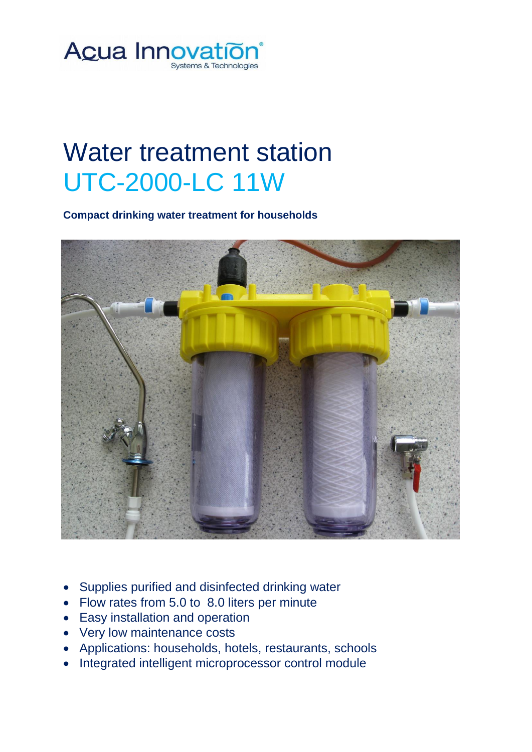

## Water treatment station UTC-2000-LC 11W

**Compact drinking water treatment for households**



- Supplies purified and disinfected drinking water
- Flow rates from 5.0 to 8.0 liters per minute
- Easy installation and operation
- Very low maintenance costs
- Applications: households, hotels, restaurants, schools
- Integrated intelligent microprocessor control module